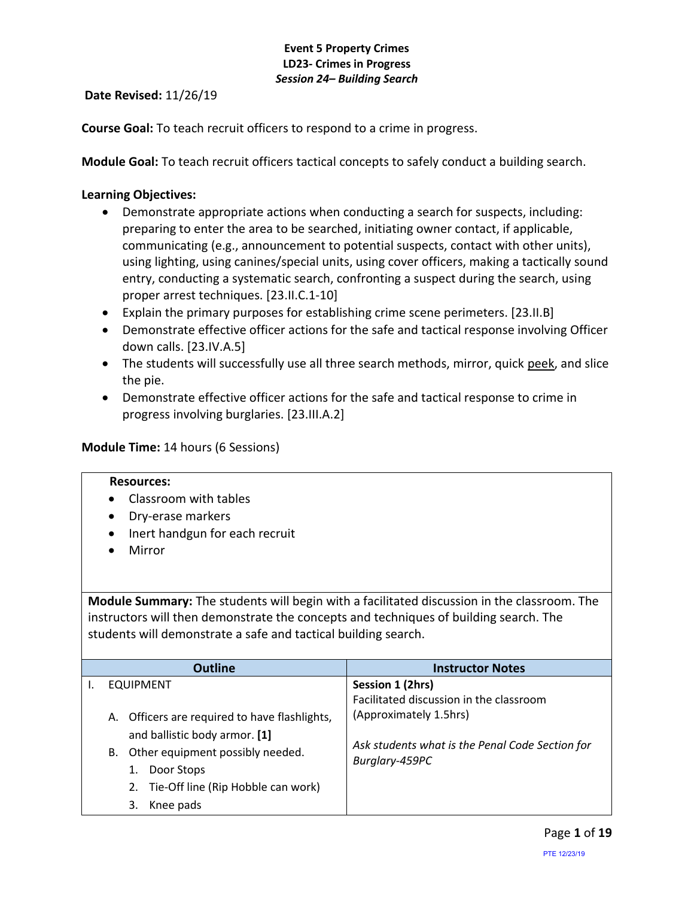**Date Revised:** 11/26/19

**Course Goal:** To teach recruit officers to respond to a crime in progress.

**Module Goal:** To teach recruit officers tactical concepts to safely conduct a building search.

## **Learning Objectives:**

- Demonstrate appropriate actions when conducting a search for suspects, including: preparing to enter the area to be searched, initiating owner contact, if applicable, communicating (e.g., announcement to potential suspects, contact with other units), using lighting, using canines/special units, using cover officers, making a tactically sound entry, conducting a systematic search, confronting a suspect during the search, using proper arrest techniques. [23.II.C.1-10]
- Explain the primary purposes for establishing crime scene perimeters. [23.II.B]
- Demonstrate effective officer actions for the safe and tactical response involving Officer down calls. [23.IV.A.5]
- The students will successfully use all three search methods, mirror, quick peek, and slice the pie.
- Demonstrate effective officer actions for the safe and tactical response to crime in progress involving burglaries. [23.III.A.2]

### **Module Time:** 14 hours (6 Sessions)

#### **Resources:**

- Classroom with tables
- Dry-erase markers
- Inert handgun for each recruit
- Mirror

**Module Summary:** The students will begin with a facilitated discussion in the classroom. The instructors will then demonstrate the concepts and techniques of building search. The students will demonstrate a safe and tactical building search.

| <b>Outline</b>                                   | <b>Instructor Notes</b>                         |
|--------------------------------------------------|-------------------------------------------------|
| <b>EQUIPMENT</b>                                 | Session 1 (2hrs)                                |
|                                                  | Facilitated discussion in the classroom         |
| Officers are required to have flashlights,<br>А. | (Approximately 1.5hrs)                          |
| and ballistic body armor. [1]                    |                                                 |
| Other equipment possibly needed.<br>В.           | Ask students what is the Penal Code Section for |
| Door Stops                                       | Burglary-459PC                                  |
| 2. Tie-Off line (Rip Hobble can work)            |                                                 |
| Knee pads                                        |                                                 |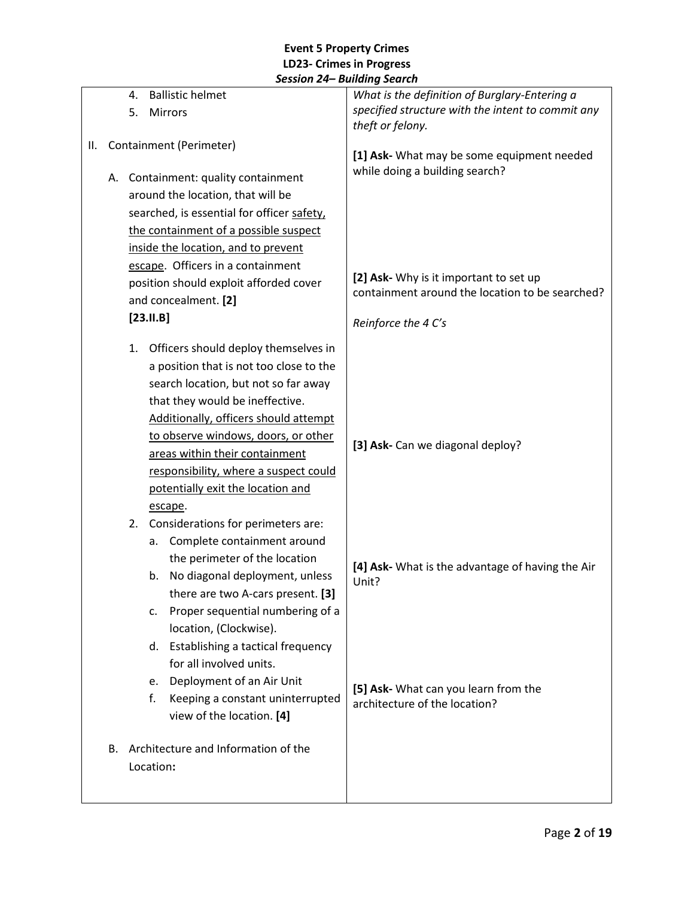|    |                         | 4.                                                                                                             | <b>Ballistic helmet</b>                    | What is the definition of Burglary-Entering a                                             |
|----|-------------------------|----------------------------------------------------------------------------------------------------------------|--------------------------------------------|-------------------------------------------------------------------------------------------|
|    |                         | 5.                                                                                                             | Mirrors                                    | specified structure with the intent to commit any                                         |
|    |                         |                                                                                                                |                                            | theft or felony.                                                                          |
| Ш. | Containment (Perimeter) |                                                                                                                |                                            | [1] Ask- What may be some equipment needed                                                |
|    |                         |                                                                                                                |                                            | while doing a building search?                                                            |
|    |                         | A. Containment: quality containment                                                                            |                                            |                                                                                           |
|    |                         | around the location, that will be                                                                              |                                            |                                                                                           |
|    |                         |                                                                                                                | searched, is essential for officer safety, |                                                                                           |
|    |                         |                                                                                                                | the containment of a possible suspect      |                                                                                           |
|    |                         |                                                                                                                | inside the location, and to prevent        |                                                                                           |
|    |                         |                                                                                                                | escape. Officers in a containment          |                                                                                           |
|    |                         |                                                                                                                | position should exploit afforded cover     | [2] Ask- Why is it important to set up<br>containment around the location to be searched? |
|    |                         |                                                                                                                | and concealment. [2]                       |                                                                                           |
|    |                         |                                                                                                                | $[23.11.B]$                                | Reinforce the 4 C's                                                                       |
|    |                         | 1.                                                                                                             | Officers should deploy themselves in       |                                                                                           |
|    |                         |                                                                                                                | a position that is not too close to the    |                                                                                           |
|    |                         |                                                                                                                | search location, but not so far away       |                                                                                           |
|    |                         |                                                                                                                | that they would be ineffective.            |                                                                                           |
|    |                         | Additionally, officers should attempt<br>to observe windows, doors, or other<br>areas within their containment |                                            |                                                                                           |
|    |                         |                                                                                                                |                                            |                                                                                           |
|    |                         |                                                                                                                |                                            | [3] Ask- Can we diagonal deploy?                                                          |
|    |                         | responsibility, where a suspect could                                                                          |                                            |                                                                                           |
|    |                         |                                                                                                                | potentially exit the location and          |                                                                                           |
|    |                         |                                                                                                                | escape.                                    |                                                                                           |
|    |                         | 2.                                                                                                             | Considerations for perimeters are:         |                                                                                           |
|    |                         |                                                                                                                | Complete containment around<br>а.          |                                                                                           |
|    |                         |                                                                                                                | the perimeter of the location              | [4] Ask- What is the advantage of having the Air                                          |
|    |                         |                                                                                                                | No diagonal deployment, unless<br>b.       | Unit?                                                                                     |
|    |                         |                                                                                                                | there are two A-cars present. [3]          |                                                                                           |
|    |                         |                                                                                                                | Proper sequential numbering of a<br>c.     |                                                                                           |
|    |                         |                                                                                                                | location, (Clockwise).                     |                                                                                           |
|    |                         |                                                                                                                | Establishing a tactical frequency<br>d.    |                                                                                           |
|    |                         |                                                                                                                | for all involved units.                    |                                                                                           |
|    |                         |                                                                                                                | Deployment of an Air Unit<br>e.            | [5] Ask- What can you learn from the                                                      |
|    |                         |                                                                                                                | Keeping a constant uninterrupted<br>f.     | architecture of the location?                                                             |
|    |                         |                                                                                                                | view of the location. [4]                  |                                                                                           |
|    | В.                      |                                                                                                                | Architecture and Information of the        |                                                                                           |
|    |                         |                                                                                                                | Location:                                  |                                                                                           |
|    |                         |                                                                                                                |                                            |                                                                                           |
|    |                         |                                                                                                                |                                            |                                                                                           |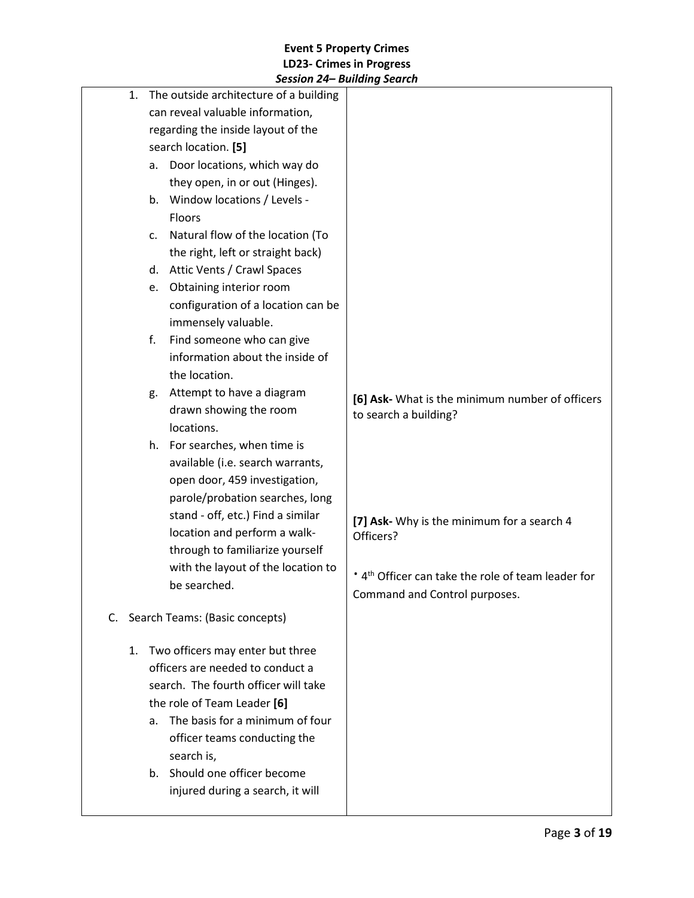|                                                                            | 3ession z4– bununiy seurch                                                 |                                                                |
|----------------------------------------------------------------------------|----------------------------------------------------------------------------|----------------------------------------------------------------|
| 1.                                                                         | The outside architecture of a building<br>can reveal valuable information, |                                                                |
|                                                                            | regarding the inside layout of the                                         |                                                                |
|                                                                            | search location. [5]                                                       |                                                                |
|                                                                            | Door locations, which way do<br>a.                                         |                                                                |
|                                                                            | they open, in or out (Hinges).                                             |                                                                |
|                                                                            | Window locations / Levels -<br>b.                                          |                                                                |
|                                                                            | Floors                                                                     |                                                                |
|                                                                            | Natural flow of the location (To<br>c.                                     |                                                                |
|                                                                            | the right, left or straight back)                                          |                                                                |
|                                                                            | d. Attic Vents / Crawl Spaces                                              |                                                                |
|                                                                            |                                                                            |                                                                |
|                                                                            | Obtaining interior room<br>e.<br>configuration of a location can be        |                                                                |
|                                                                            |                                                                            |                                                                |
|                                                                            | immensely valuable.                                                        |                                                                |
|                                                                            | Find someone who can give<br>f.<br>information about the inside of         |                                                                |
|                                                                            | the location.                                                              |                                                                |
|                                                                            |                                                                            |                                                                |
|                                                                            | Attempt to have a diagram<br>g.                                            | [6] Ask- What is the minimum number of officers                |
|                                                                            | drawn showing the room                                                     | to search a building?                                          |
|                                                                            | locations.                                                                 |                                                                |
|                                                                            | h. For searches, when time is                                              |                                                                |
|                                                                            | available (i.e. search warrants,                                           |                                                                |
|                                                                            | open door, 459 investigation,                                              |                                                                |
|                                                                            | parole/probation searches, long                                            |                                                                |
|                                                                            | stand - off, etc.) Find a similar                                          | [7] Ask- Why is the minimum for a search 4                     |
|                                                                            | location and perform a walk-                                               | Officers?                                                      |
|                                                                            | through to familiarize yourself                                            |                                                                |
|                                                                            | with the layout of the location to                                         | * 4 <sup>th</sup> Officer can take the role of team leader for |
|                                                                            | be searched.                                                               | Command and Control purposes.                                  |
| C.                                                                         | Search Teams: (Basic concepts)                                             |                                                                |
|                                                                            |                                                                            |                                                                |
| Two officers may enter but three<br>1.<br>officers are needed to conduct a |                                                                            |                                                                |
|                                                                            |                                                                            |                                                                |
|                                                                            | search. The fourth officer will take                                       |                                                                |
|                                                                            | the role of Team Leader [6]                                                |                                                                |
|                                                                            | The basis for a minimum of four<br>a.                                      |                                                                |
|                                                                            | officer teams conducting the                                               |                                                                |
|                                                                            | search is,                                                                 |                                                                |
|                                                                            | Should one officer become<br>b.                                            |                                                                |
|                                                                            | injured during a search, it will                                           |                                                                |
|                                                                            |                                                                            |                                                                |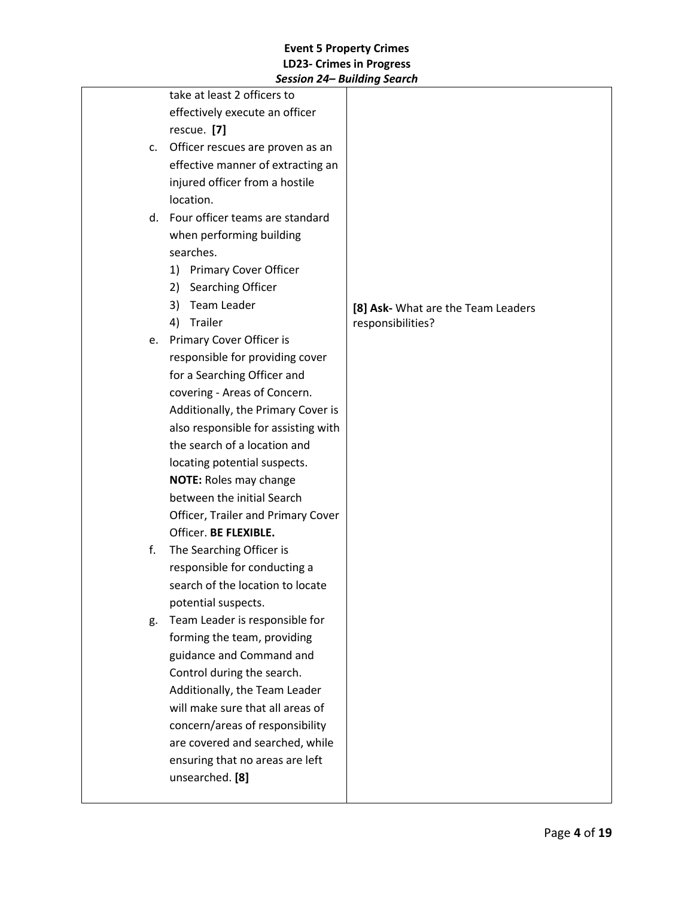|    | 5                                   |                                    |
|----|-------------------------------------|------------------------------------|
|    | take at least 2 officers to         |                                    |
|    | effectively execute an officer      |                                    |
|    | rescue. [7]                         |                                    |
| c. | Officer rescues are proven as an    |                                    |
|    | effective manner of extracting an   |                                    |
|    | injured officer from a hostile      |                                    |
|    | location.                           |                                    |
|    | d. Four officer teams are standard  |                                    |
|    | when performing building            |                                    |
|    | searches.                           |                                    |
|    | 1) Primary Cover Officer            |                                    |
|    | Searching Officer<br>2)             |                                    |
|    | Team Leader<br>3)                   | [8] Ask- What are the Team Leaders |
|    | Trailer<br>4)                       | responsibilities?                  |
|    | e. Primary Cover Officer is         |                                    |
|    | responsible for providing cover     |                                    |
|    | for a Searching Officer and         |                                    |
|    | covering - Areas of Concern.        |                                    |
|    | Additionally, the Primary Cover is  |                                    |
|    | also responsible for assisting with |                                    |
|    | the search of a location and        |                                    |
|    | locating potential suspects.        |                                    |
|    | <b>NOTE: Roles may change</b>       |                                    |
|    | between the initial Search          |                                    |
|    | Officer, Trailer and Primary Cover  |                                    |
|    | Officer. BE FLEXIBLE.               |                                    |
| f. | The Searching Officer is            |                                    |
|    | responsible for conducting a        |                                    |
|    | search of the location to locate    |                                    |
|    | potential suspects.                 |                                    |
| g. | Team Leader is responsible for      |                                    |
|    | forming the team, providing         |                                    |
|    | guidance and Command and            |                                    |
|    | Control during the search.          |                                    |
|    | Additionally, the Team Leader       |                                    |
|    | will make sure that all areas of    |                                    |
|    | concern/areas of responsibility     |                                    |
|    | are covered and searched, while     |                                    |
|    | ensuring that no areas are left     |                                    |
|    | unsearched. [8]                     |                                    |
|    |                                     |                                    |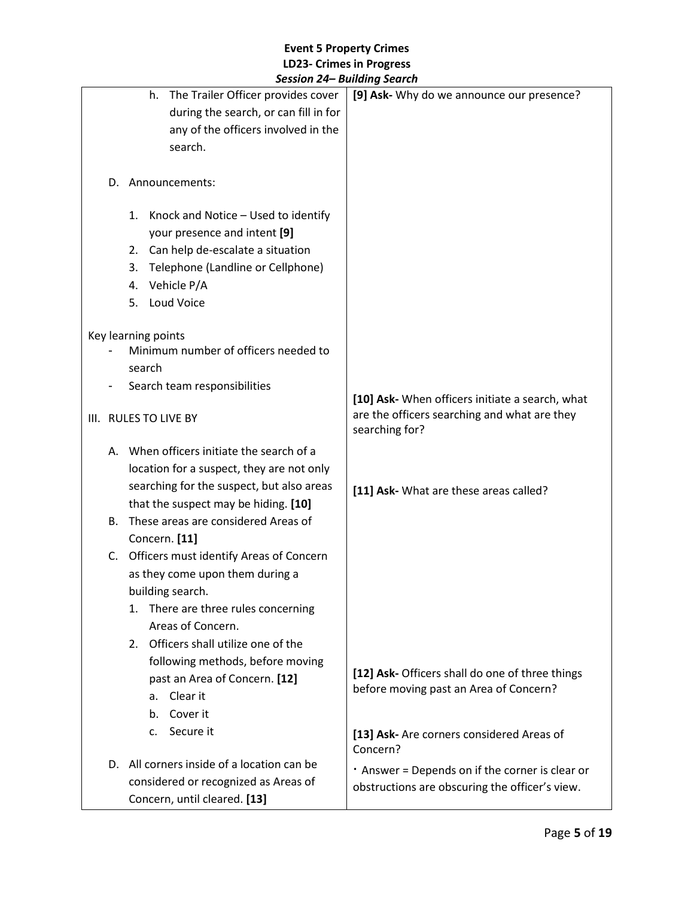|    |                                            | scssion 27 Dununiy Scuren                             |
|----|--------------------------------------------|-------------------------------------------------------|
|    | The Trailer Officer provides cover<br>h.   | [9] Ask- Why do we announce our presence?             |
|    | during the search, or can fill in for      |                                                       |
|    | any of the officers involved in the        |                                                       |
|    | search.                                    |                                                       |
|    |                                            |                                                       |
|    | D. Announcements:                          |                                                       |
|    |                                            |                                                       |
|    | 1. Knock and Notice - Used to identify     |                                                       |
|    | your presence and intent [9]               |                                                       |
|    | 2. Can help de-escalate a situation        |                                                       |
|    | Telephone (Landline or Cellphone)<br>3.    |                                                       |
|    | Vehicle P/A<br>4.                          |                                                       |
|    |                                            |                                                       |
|    | Loud Voice<br>5.                           |                                                       |
|    | Key learning points                        |                                                       |
|    | Minimum number of officers needed to       |                                                       |
|    | search                                     |                                                       |
|    | Search team responsibilities               |                                                       |
|    |                                            | [10] Ask- When officers initiate a search, what       |
|    | III. RULES TO LIVE BY                      | are the officers searching and what are they          |
|    |                                            | searching for?                                        |
|    | A. When officers initiate the search of a  |                                                       |
|    |                                            |                                                       |
|    | location for a suspect, they are not only  |                                                       |
|    | searching for the suspect, but also areas  | [11] Ask- What are these areas called?                |
|    | that the suspect may be hiding. [10]       |                                                       |
| В. | These areas are considered Areas of        |                                                       |
|    | Concern. [11]                              |                                                       |
|    | C. Officers must identify Areas of Concern |                                                       |
|    | as they come upon them during a            |                                                       |
|    | building search.                           |                                                       |
|    | There are three rules concerning<br>1.     |                                                       |
|    | Areas of Concern.                          |                                                       |
|    | 2. Officers shall utilize one of the       |                                                       |
|    | following methods, before moving           |                                                       |
|    | past an Area of Concern. [12]              | [12] Ask- Officers shall do one of three things       |
|    | Clear it                                   | before moving past an Area of Concern?                |
|    | а.                                         |                                                       |
|    | Cover it<br>b.                             |                                                       |
|    | Secure it<br>$\mathsf{C}$ .                | [13] Ask- Are corners considered Areas of<br>Concern? |
|    | D. All corners inside of a location can be | . Answer = Depends on if the corner is clear or       |
|    | considered or recognized as Areas of       | obstructions are obscuring the officer's view.        |
|    | Concern, until cleared. [13]               |                                                       |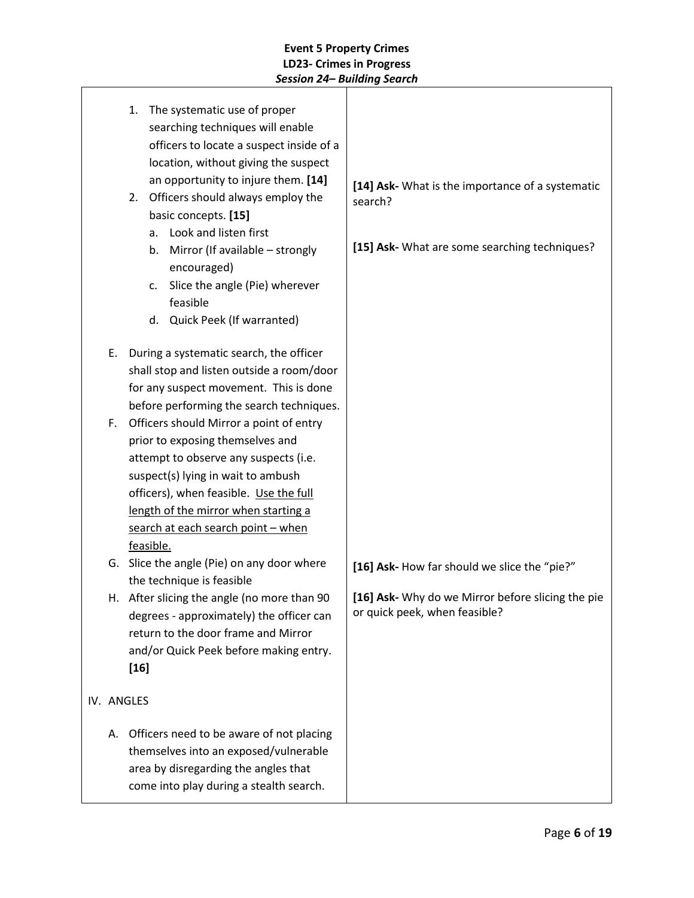| 1. The systematic use of proper<br>searching techniques will enable<br>officers to locate a suspect inside of a<br>location, without giving the suspect<br>an opportunity to injure them. [14]<br>2. Officers should always employ the<br>basic concepts. [15]<br>a. Look and listen first<br>Mirror (If available - strongly<br>b.<br>encouraged)<br>Slice the angle (Pie) wherever<br>c.<br>feasible<br>d. Quick Peek (If warranted) | [14] Ask- What is the importance of a systematic<br>search?<br>[15] Ask- What are some searching techniques? |
|----------------------------------------------------------------------------------------------------------------------------------------------------------------------------------------------------------------------------------------------------------------------------------------------------------------------------------------------------------------------------------------------------------------------------------------|--------------------------------------------------------------------------------------------------------------|
| During a systematic search, the officer<br>Е.<br>shall stop and listen outside a room/door<br>for any suspect movement. This is done<br>before performing the search techniques.                                                                                                                                                                                                                                                       |                                                                                                              |
| Officers should Mirror a point of entry<br>F.<br>prior to exposing themselves and<br>attempt to observe any suspects (i.e.<br>suspect(s) lying in wait to ambush<br>officers), when feasible. Use the full<br>length of the mirror when starting a<br>search at each search point - when<br>feasible.                                                                                                                                  |                                                                                                              |
| G. Slice the angle (Pie) on any door where<br>the technique is feasible                                                                                                                                                                                                                                                                                                                                                                | [16] Ask- How far should we slice the "pie?"                                                                 |
| After slicing the angle (no more than 90)<br>н.<br>degrees - approximately) the officer can<br>return to the door frame and Mirror<br>and/or Quick Peek before making entry.<br>$[16]$                                                                                                                                                                                                                                                 | [16] Ask- Why do we Mirror before slicing the pie<br>or quick peek, when feasible?                           |
| IV. ANGLES                                                                                                                                                                                                                                                                                                                                                                                                                             |                                                                                                              |
| Officers need to be aware of not placing<br>А.<br>themselves into an exposed/vulnerable<br>area by disregarding the angles that<br>come into play during a stealth search.                                                                                                                                                                                                                                                             |                                                                                                              |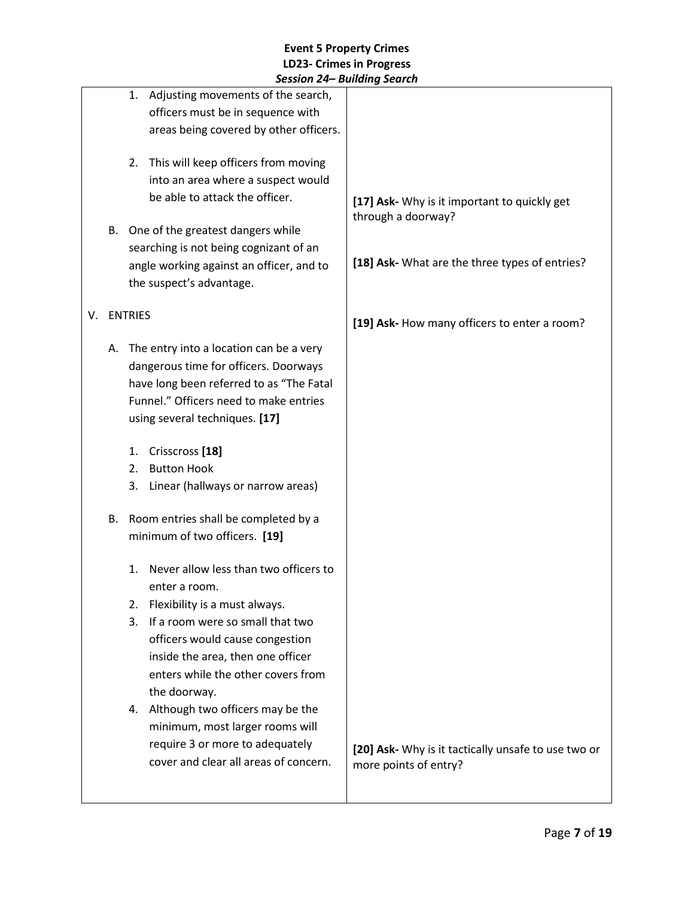|    |    | 3ession z4– bununiy Seurch                                                                                                                                                                               |                                                                              |
|----|----|----------------------------------------------------------------------------------------------------------------------------------------------------------------------------------------------------------|------------------------------------------------------------------------------|
|    |    | 1. Adjusting movements of the search,<br>officers must be in sequence with<br>areas being covered by other officers.                                                                                     |                                                                              |
|    |    | 2. This will keep officers from moving<br>into an area where a suspect would<br>be able to attack the officer.                                                                                           | [17] Ask- Why is it important to quickly get<br>through a doorway?           |
|    | В. | One of the greatest dangers while                                                                                                                                                                        |                                                                              |
|    |    | searching is not being cognizant of an                                                                                                                                                                   |                                                                              |
|    |    | angle working against an officer, and to<br>the suspect's advantage.                                                                                                                                     | [18] Ask- What are the three types of entries?                               |
| V. |    | <b>ENTRIES</b>                                                                                                                                                                                           | [19] Ask- How many officers to enter a room?                                 |
|    | А. | The entry into a location can be a very<br>dangerous time for officers. Doorways<br>have long been referred to as "The Fatal<br>Funnel." Officers need to make entries<br>using several techniques. [17] |                                                                              |
|    |    | Crisscross [18]<br>1.                                                                                                                                                                                    |                                                                              |
|    |    | <b>Button Hook</b><br>2.                                                                                                                                                                                 |                                                                              |
|    |    | 3. Linear (hallways or narrow areas)                                                                                                                                                                     |                                                                              |
|    | В. | Room entries shall be completed by a<br>minimum of two officers. [19]                                                                                                                                    |                                                                              |
|    |    | Never allow less than two officers to<br>1.<br>enter a room.                                                                                                                                             |                                                                              |
|    |    | Flexibility is a must always.<br>2.                                                                                                                                                                      |                                                                              |
|    |    | If a room were so small that two<br>3.<br>officers would cause congestion<br>inside the area, then one officer<br>enters while the other covers from<br>the doorway.                                     |                                                                              |
|    |    | 4. Although two officers may be the<br>minimum, most larger rooms will<br>require 3 or more to adequately<br>cover and clear all areas of concern.                                                       | [20] Ask- Why is it tactically unsafe to use two or<br>more points of entry? |
|    |    |                                                                                                                                                                                                          |                                                                              |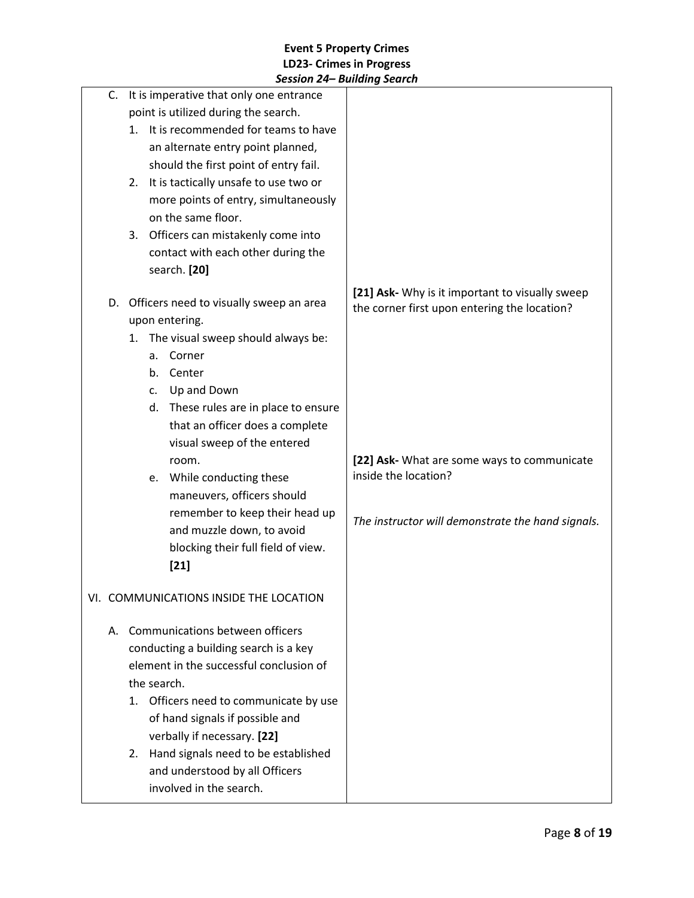|                                         | JESSIUII Z4 <sup>11</sup> DUIIUIIIY JEUI LII |                                                                     |
|-----------------------------------------|----------------------------------------------|---------------------------------------------------------------------|
|                                         | C. It is imperative that only one entrance   |                                                                     |
|                                         | point is utilized during the search.         |                                                                     |
|                                         | It is recommended for teams to have<br>1.    |                                                                     |
|                                         | an alternate entry point planned,            |                                                                     |
|                                         | should the first point of entry fail.        |                                                                     |
|                                         | It is tactically unsafe to use two or<br>2.  |                                                                     |
|                                         | more points of entry, simultaneously         |                                                                     |
|                                         | on the same floor.                           |                                                                     |
|                                         | Officers can mistakenly come into<br>3.      |                                                                     |
|                                         | contact with each other during the           |                                                                     |
|                                         | search. [20]                                 |                                                                     |
| D.                                      | Officers need to visually sweep an area      | [21] Ask- Why is it important to visually sweep                     |
|                                         | upon entering.                               | the corner first upon entering the location?                        |
|                                         | The visual sweep should always be:<br>1.     |                                                                     |
|                                         | Corner<br>a.                                 |                                                                     |
|                                         | Center<br>b.                                 |                                                                     |
|                                         | Up and Down<br>C.                            |                                                                     |
|                                         | d. These rules are in place to ensure        |                                                                     |
|                                         |                                              |                                                                     |
|                                         | that an officer does a complete              |                                                                     |
|                                         | visual sweep of the entered                  |                                                                     |
|                                         | room.                                        | [22] Ask- What are some ways to communicate<br>inside the location? |
|                                         | While conducting these<br>e.                 |                                                                     |
|                                         | maneuvers, officers should                   |                                                                     |
|                                         | remember to keep their head up               | The instructor will demonstrate the hand signals.                   |
|                                         | and muzzle down, to avoid                    |                                                                     |
|                                         | blocking their full field of view.           |                                                                     |
|                                         | $[21]$                                       |                                                                     |
|                                         | VI. COMMUNICATIONS INSIDE THE LOCATION       |                                                                     |
|                                         | A. Communications between officers           |                                                                     |
|                                         | conducting a building search is a key        |                                                                     |
| element in the successful conclusion of |                                              |                                                                     |
| the search.                             |                                              |                                                                     |
|                                         | Officers need to communicate by use<br>1.    |                                                                     |
|                                         | of hand signals if possible and              |                                                                     |
|                                         |                                              |                                                                     |
|                                         | verbally if necessary. [22]                  |                                                                     |
|                                         | Hand signals need to be established<br>2.    |                                                                     |
|                                         | and understood by all Officers               |                                                                     |
|                                         | involved in the search.                      |                                                                     |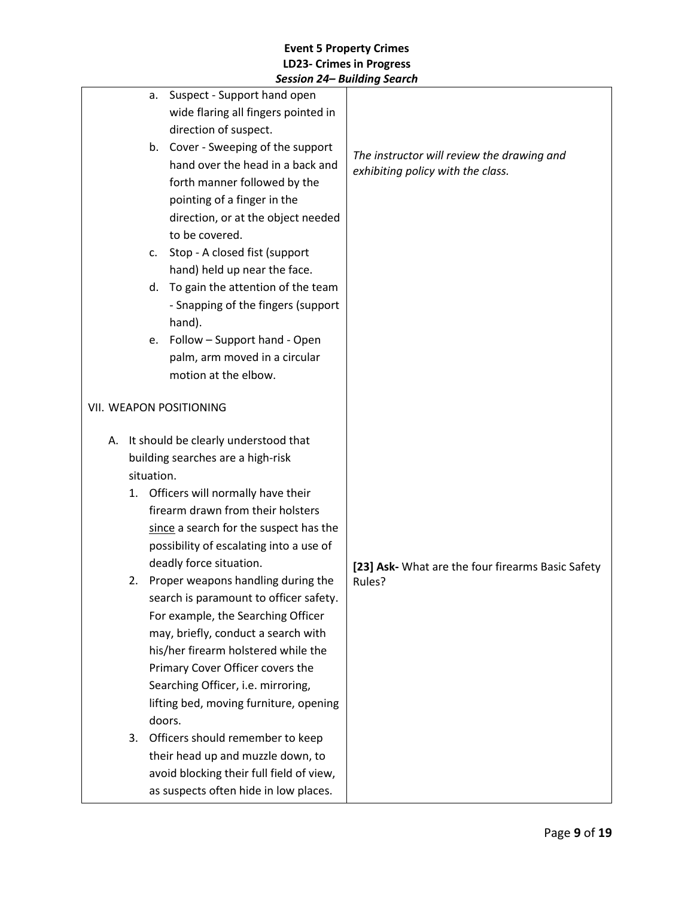|            | Suspect - Support hand open<br>a.        |                                                             |
|------------|------------------------------------------|-------------------------------------------------------------|
|            | wide flaring all fingers pointed in      |                                                             |
|            | direction of suspect.                    |                                                             |
|            | b. Cover - Sweeping of the support       |                                                             |
|            | hand over the head in a back and         | The instructor will review the drawing and                  |
|            | forth manner followed by the             | exhibiting policy with the class.                           |
|            | pointing of a finger in the              |                                                             |
|            | direction, or at the object needed       |                                                             |
|            | to be covered.                           |                                                             |
|            | Stop - A closed fist (support<br>c.      |                                                             |
|            | hand) held up near the face.             |                                                             |
|            | To gain the attention of the team<br>d.  |                                                             |
|            | - Snapping of the fingers (support       |                                                             |
|            | hand).                                   |                                                             |
|            | e. Follow - Support hand - Open          |                                                             |
|            | palm, arm moved in a circular            |                                                             |
|            | motion at the elbow.                     |                                                             |
|            |                                          |                                                             |
|            | VII. WEAPON POSITIONING                  |                                                             |
|            |                                          |                                                             |
|            | A. It should be clearly understood that  |                                                             |
| situation. | building searches are a high-risk        |                                                             |
| 1.         | Officers will normally have their        |                                                             |
|            | firearm drawn from their holsters        |                                                             |
|            | since a search for the suspect has the   |                                                             |
|            | possibility of escalating into a use of  |                                                             |
|            | deadly force situation.                  |                                                             |
|            | 2. Proper weapons handling during the    | [23] Ask- What are the four firearms Basic Safety<br>Rules? |
|            | search is paramount to officer safety.   |                                                             |
|            | For example, the Searching Officer       |                                                             |
|            | may, briefly, conduct a search with      |                                                             |
|            | his/her firearm holstered while the      |                                                             |
|            | Primary Cover Officer covers the         |                                                             |
|            | Searching Officer, i.e. mirroring,       |                                                             |
|            | lifting bed, moving furniture, opening   |                                                             |
|            | doors.                                   |                                                             |
| 3.         | Officers should remember to keep         |                                                             |
|            | their head up and muzzle down, to        |                                                             |
|            | avoid blocking their full field of view, |                                                             |
|            | as suspects often hide in low places.    |                                                             |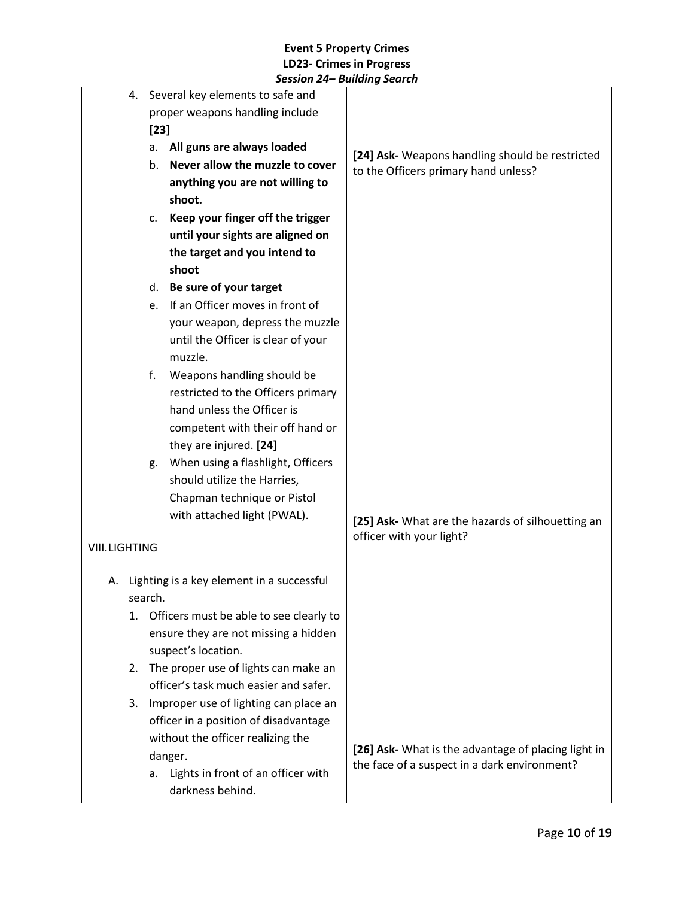|                      | 4. Several key elements to safe and |                                                               |                                                                                                     |
|----------------------|-------------------------------------|---------------------------------------------------------------|-----------------------------------------------------------------------------------------------------|
|                      |                                     | proper weapons handling include                               |                                                                                                     |
|                      | $[23]$                              |                                                               |                                                                                                     |
|                      | a.                                  | All guns are always loaded<br>Never allow the muzzle to cover | [24] Ask- Weapons handling should be restricted                                                     |
|                      | b.                                  |                                                               | to the Officers primary hand unless?                                                                |
|                      |                                     | anything you are not willing to<br>shoot.                     |                                                                                                     |
|                      | c.                                  | Keep your finger off the trigger                              |                                                                                                     |
|                      |                                     | until your sights are aligned on                              |                                                                                                     |
|                      |                                     | the target and you intend to                                  |                                                                                                     |
|                      |                                     | shoot                                                         |                                                                                                     |
|                      | d.                                  | Be sure of your target                                        |                                                                                                     |
|                      | e.                                  | If an Officer moves in front of                               |                                                                                                     |
|                      |                                     | your weapon, depress the muzzle                               |                                                                                                     |
|                      |                                     | until the Officer is clear of your                            |                                                                                                     |
|                      |                                     | muzzle.                                                       |                                                                                                     |
|                      | f.                                  | Weapons handling should be                                    |                                                                                                     |
|                      |                                     | restricted to the Officers primary                            |                                                                                                     |
|                      |                                     | hand unless the Officer is                                    |                                                                                                     |
|                      |                                     | competent with their off hand or                              |                                                                                                     |
|                      |                                     | they are injured. [24]                                        |                                                                                                     |
|                      | g.                                  | When using a flashlight, Officers                             |                                                                                                     |
|                      |                                     | should utilize the Harries,                                   |                                                                                                     |
|                      |                                     | Chapman technique or Pistol                                   |                                                                                                     |
|                      |                                     | with attached light (PWAL).                                   | [25] Ask- What are the hazards of silhouetting an                                                   |
| <b>VIII.LIGHTING</b> |                                     |                                                               | officer with your light?                                                                            |
|                      |                                     |                                                               |                                                                                                     |
|                      |                                     | A. Lighting is a key element in a successful                  |                                                                                                     |
|                      | search.                             |                                                               |                                                                                                     |
|                      |                                     | 1. Officers must be able to see clearly to                    |                                                                                                     |
|                      |                                     | ensure they are not missing a hidden                          |                                                                                                     |
|                      |                                     | suspect's location.                                           |                                                                                                     |
| 2.                   |                                     | The proper use of lights can make an                          |                                                                                                     |
|                      |                                     | officer's task much easier and safer.                         |                                                                                                     |
| 3.                   |                                     | Improper use of lighting can place an                         |                                                                                                     |
|                      |                                     | officer in a position of disadvantage                         |                                                                                                     |
|                      |                                     | without the officer realizing the                             |                                                                                                     |
|                      |                                     | danger.                                                       | [26] Ask- What is the advantage of placing light in<br>the face of a suspect in a dark environment? |
|                      | a.                                  | Lights in front of an officer with                            |                                                                                                     |
|                      |                                     | darkness behind.                                              |                                                                                                     |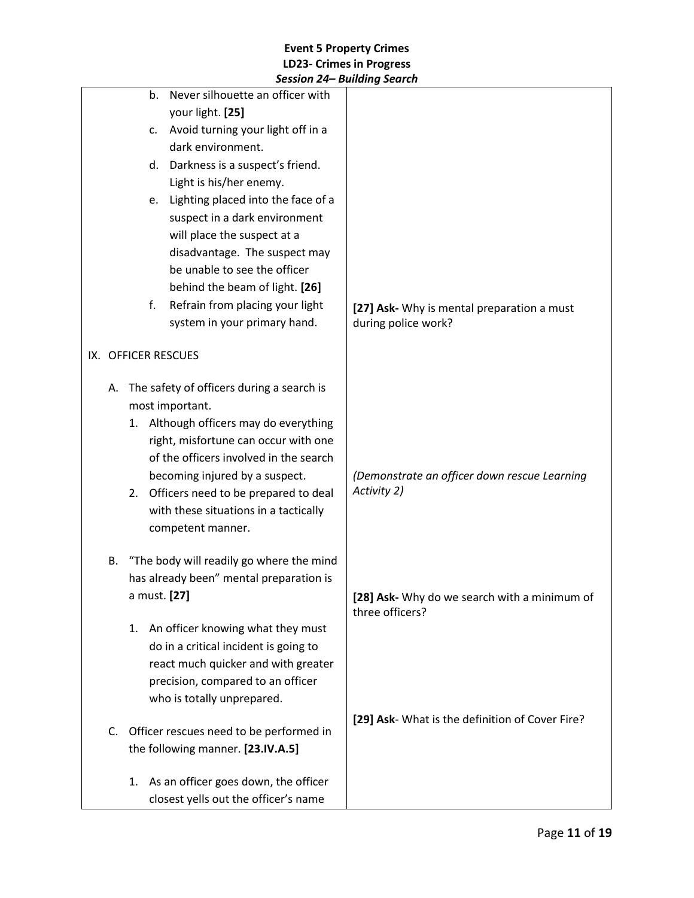|    |                     | Session 24– Building Search               |                                                                 |
|----|---------------------|-------------------------------------------|-----------------------------------------------------------------|
|    | b.                  | Never silhouette an officer with          |                                                                 |
|    |                     | your light. [25]                          |                                                                 |
|    | c.                  | Avoid turning your light off in a         |                                                                 |
|    |                     | dark environment.                         |                                                                 |
|    | d.                  | Darkness is a suspect's friend.           |                                                                 |
|    |                     | Light is his/her enemy.                   |                                                                 |
|    | e.                  | Lighting placed into the face of a        |                                                                 |
|    |                     | suspect in a dark environment             |                                                                 |
|    |                     | will place the suspect at a               |                                                                 |
|    |                     | disadvantage. The suspect may             |                                                                 |
|    |                     | be unable to see the officer              |                                                                 |
|    |                     | behind the beam of light. [26]            |                                                                 |
|    | f.                  | Refrain from placing your light           | [27] Ask- Why is mental preparation a must                      |
|    |                     | system in your primary hand.              | during police work?                                             |
|    |                     |                                           |                                                                 |
|    | IX. OFFICER RESCUES |                                           |                                                                 |
| А. |                     | The safety of officers during a search is |                                                                 |
|    |                     | most important.                           |                                                                 |
|    |                     | 1. Although officers may do everything    |                                                                 |
|    |                     | right, misfortune can occur with one      |                                                                 |
|    |                     | of the officers involved in the search    |                                                                 |
|    |                     | becoming injured by a suspect.            | (Demonstrate an officer down rescue Learning                    |
|    |                     | 2. Officers need to be prepared to deal   | Activity 2)                                                     |
|    |                     | with these situations in a tactically     |                                                                 |
|    |                     | competent manner.                         |                                                                 |
|    |                     |                                           |                                                                 |
| В. |                     | "The body will readily go where the mind  |                                                                 |
|    |                     | has already been" mental preparation is   |                                                                 |
|    | a must. [27]        |                                           | [28] Ask- Why do we search with a minimum of<br>three officers? |
|    | 1.                  | An officer knowing what they must         |                                                                 |
|    |                     | do in a critical incident is going to     |                                                                 |
|    |                     | react much quicker and with greater       |                                                                 |
|    |                     | precision, compared to an officer         |                                                                 |
|    |                     | who is totally unprepared.                |                                                                 |
|    |                     |                                           | [29] Ask- What is the definition of Cover Fire?                 |
| C. |                     | Officer rescues need to be performed in   |                                                                 |
|    |                     | the following manner. [23.IV.A.5]         |                                                                 |
|    |                     |                                           |                                                                 |
|    | 1.                  | As an officer goes down, the officer      |                                                                 |
|    |                     | closest yells out the officer's name      |                                                                 |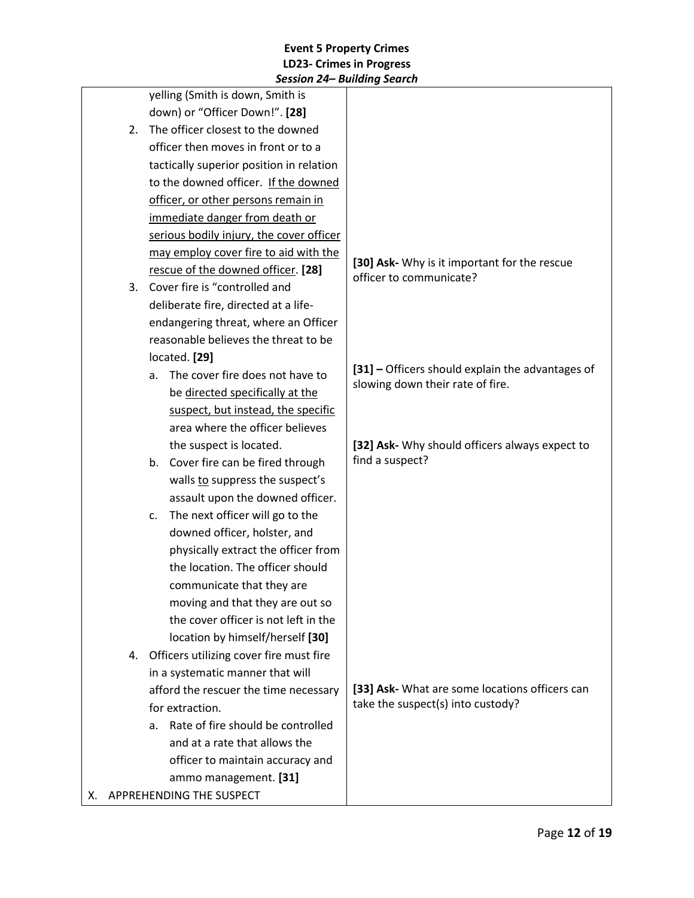|  |                                                                                   | JESSIUII <del>24</del> – Duiluilly JEULUI |                                                                                      |
|--|-----------------------------------------------------------------------------------|-------------------------------------------|--------------------------------------------------------------------------------------|
|  |                                                                                   | yelling (Smith is down, Smith is          |                                                                                      |
|  |                                                                                   | down) or "Officer Down!". [28]            |                                                                                      |
|  | 2.                                                                                | The officer closest to the downed         |                                                                                      |
|  | officer then moves in front or to a                                               |                                           |                                                                                      |
|  |                                                                                   | tactically superior position in relation  |                                                                                      |
|  |                                                                                   | to the downed officer. If the downed      |                                                                                      |
|  |                                                                                   | officer, or other persons remain in       |                                                                                      |
|  |                                                                                   | immediate danger from death or            |                                                                                      |
|  |                                                                                   | serious bodily injury, the cover officer  |                                                                                      |
|  |                                                                                   | may employ cover fire to aid with the     |                                                                                      |
|  |                                                                                   | rescue of the downed officer. [28]        | [30] Ask- Why is it important for the rescue<br>officer to communicate?              |
|  | 3.                                                                                | Cover fire is "controlled and             |                                                                                      |
|  |                                                                                   | deliberate fire, directed at a life-      |                                                                                      |
|  |                                                                                   | endangering threat, where an Officer      |                                                                                      |
|  |                                                                                   | reasonable believes the threat to be      |                                                                                      |
|  |                                                                                   | located. [29]                             |                                                                                      |
|  |                                                                                   | The cover fire does not have to<br>a.     | [31] - Officers should explain the advantages of<br>slowing down their rate of fire. |
|  |                                                                                   | be directed specifically at the           |                                                                                      |
|  |                                                                                   | suspect, but instead, the specific        |                                                                                      |
|  |                                                                                   | area where the officer believes           |                                                                                      |
|  |                                                                                   | the suspect is located.                   | [32] Ask- Why should officers always expect to                                       |
|  |                                                                                   | b. Cover fire can be fired through        | find a suspect?                                                                      |
|  |                                                                                   | walls to suppress the suspect's           |                                                                                      |
|  |                                                                                   | assault upon the downed officer.          |                                                                                      |
|  |                                                                                   | The next officer will go to the<br>c.     |                                                                                      |
|  |                                                                                   | downed officer, holster, and              |                                                                                      |
|  |                                                                                   | physically extract the officer from       |                                                                                      |
|  |                                                                                   | the location. The officer should          |                                                                                      |
|  |                                                                                   | communicate that they are                 |                                                                                      |
|  |                                                                                   | moving and that they are out so           |                                                                                      |
|  |                                                                                   | the cover officer is not left in the      |                                                                                      |
|  | location by himself/herself [30]<br>Officers utilizing cover fire must fire<br>4. |                                           |                                                                                      |
|  |                                                                                   |                                           |                                                                                      |
|  |                                                                                   | in a systematic manner that will          |                                                                                      |
|  | afford the rescuer the time necessary                                             |                                           | [33] Ask- What are some locations officers can                                       |
|  |                                                                                   | for extraction.                           | take the suspect(s) into custody?                                                    |
|  |                                                                                   | Rate of fire should be controlled<br>a.   |                                                                                      |
|  |                                                                                   | and at a rate that allows the             |                                                                                      |
|  |                                                                                   | officer to maintain accuracy and          |                                                                                      |
|  |                                                                                   | ammo management. [31]                     |                                                                                      |
|  |                                                                                   | X. APPREHENDING THE SUSPECT               |                                                                                      |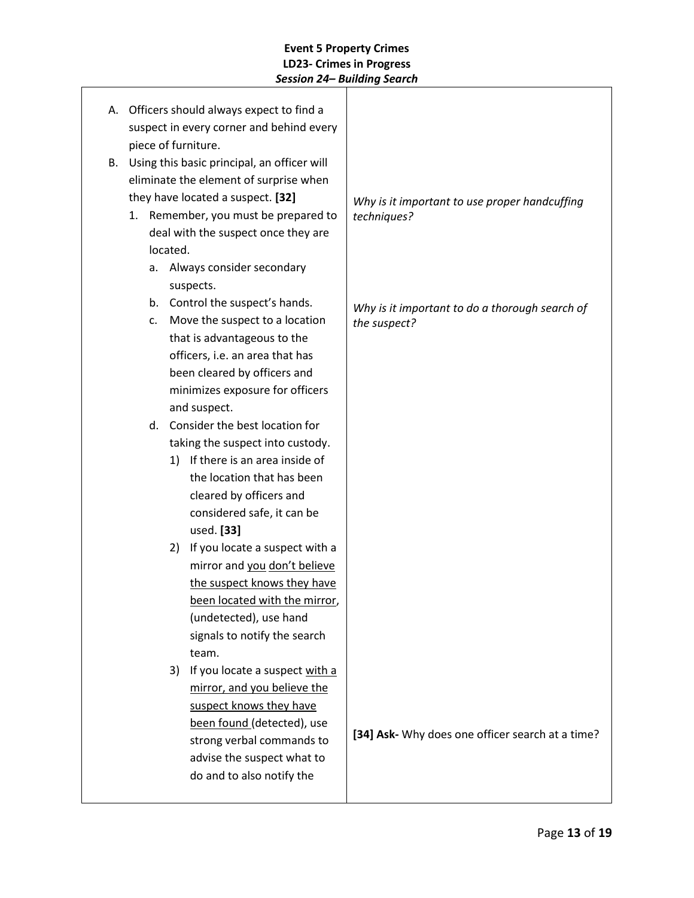| А. |                                  |          | Officers should always expect to find a     |                                                  |
|----|----------------------------------|----------|---------------------------------------------|--------------------------------------------------|
|    |                                  |          | suspect in every corner and behind every    |                                                  |
|    |                                  |          | piece of furniture.                         |                                                  |
| В. |                                  |          | Using this basic principal, an officer will |                                                  |
|    |                                  |          | eliminate the element of surprise when      |                                                  |
|    |                                  |          | they have located a suspect. [32]           | Why is it important to use proper handcuffing    |
|    |                                  |          | 1. Remember, you must be prepared to        | techniques?                                      |
|    |                                  |          | deal with the suspect once they are         |                                                  |
|    |                                  | located. |                                             |                                                  |
|    | a.                               |          | Always consider secondary                   |                                                  |
|    |                                  |          | suspects.                                   |                                                  |
|    |                                  |          | b. Control the suspect's hands.             | Why is it important to do a thorough search of   |
|    | c.                               |          | Move the suspect to a location              | the suspect?                                     |
|    |                                  |          | that is advantageous to the                 |                                                  |
|    |                                  |          | officers, i.e. an area that has             |                                                  |
|    |                                  |          | been cleared by officers and                |                                                  |
|    |                                  |          | minimizes exposure for officers             |                                                  |
|    |                                  |          | and suspect.                                |                                                  |
|    | d.                               |          | Consider the best location for              |                                                  |
|    | taking the suspect into custody. |          |                                             |                                                  |
|    |                                  |          | 1) If there is an area inside of            |                                                  |
|    |                                  |          | the location that has been                  |                                                  |
|    |                                  |          | cleared by officers and                     |                                                  |
|    |                                  |          | considered safe, it can be                  |                                                  |
|    |                                  |          | used. [33]                                  |                                                  |
|    |                                  | 2)       | If you locate a suspect with a              |                                                  |
|    |                                  |          | mirror and you don't believe                |                                                  |
|    |                                  |          | the suspect knows they have                 |                                                  |
|    |                                  |          | been located with the mirror,               |                                                  |
|    |                                  |          | (undetected), use hand                      |                                                  |
|    |                                  |          | signals to notify the search                |                                                  |
|    |                                  |          | team.                                       |                                                  |
|    |                                  | 3)       | If you locate a suspect with a              |                                                  |
|    |                                  |          | mirror, and you believe the                 |                                                  |
|    |                                  |          | suspect knows they have                     |                                                  |
|    |                                  |          | been found (detected), use                  | [34] Ask- Why does one officer search at a time? |
|    |                                  |          | strong verbal commands to                   |                                                  |
|    |                                  |          | advise the suspect what to                  |                                                  |
|    |                                  |          | do and to also notify the                   |                                                  |
|    |                                  |          |                                             |                                                  |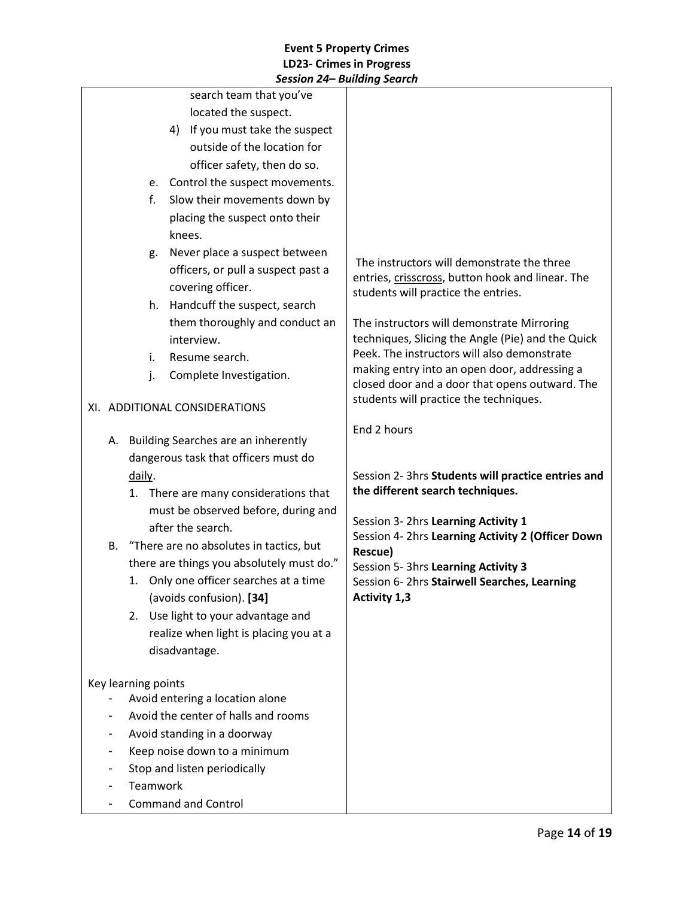|                                        |                                           |    | session 24 Danamg search                   |                                                                                                |
|----------------------------------------|-------------------------------------------|----|--------------------------------------------|------------------------------------------------------------------------------------------------|
|                                        |                                           |    | search team that you've                    |                                                                                                |
|                                        |                                           |    | located the suspect.                       |                                                                                                |
|                                        |                                           |    | 4) If you must take the suspect            |                                                                                                |
|                                        |                                           |    | outside of the location for                |                                                                                                |
|                                        |                                           |    | officer safety, then do so.                |                                                                                                |
|                                        |                                           |    | e. Control the suspect movements.          |                                                                                                |
|                                        | f.                                        |    | Slow their movements down by               |                                                                                                |
|                                        |                                           |    | placing the suspect onto their             |                                                                                                |
|                                        |                                           |    | knees.                                     |                                                                                                |
|                                        |                                           | g. | Never place a suspect between              | The instructors will demonstrate the three                                                     |
|                                        |                                           |    | officers, or pull a suspect past a         | entries, crisscross, button hook and linear. The                                               |
|                                        |                                           |    | covering officer.                          | students will practice the entries.                                                            |
|                                        |                                           | h. | Handcuff the suspect, search               |                                                                                                |
|                                        |                                           |    | them thoroughly and conduct an             | The instructors will demonstrate Mirroring                                                     |
|                                        |                                           |    | interview.                                 | techniques, Slicing the Angle (Pie) and the Quick                                              |
|                                        | i.                                        |    | Resume search.                             | Peek. The instructors will also demonstrate                                                    |
|                                        | j.                                        |    | Complete Investigation.                    | making entry into an open door, addressing a<br>closed door and a door that opens outward. The |
|                                        |                                           |    |                                            | students will practice the techniques.                                                         |
| XI. ADDITIONAL CONSIDERATIONS          |                                           |    |                                            |                                                                                                |
|                                        |                                           |    |                                            | End 2 hours                                                                                    |
| A. Building Searches are an inherently |                                           |    |                                            |                                                                                                |
|                                        |                                           |    | dangerous task that officers must do       |                                                                                                |
|                                        | daily.                                    |    |                                            | Session 2- 3hrs Students will practice entries and<br>the different search techniques.         |
|                                        |                                           |    | 1. There are many considerations that      |                                                                                                |
|                                        |                                           |    | must be observed before, during and        | Session 3- 2hrs Learning Activity 1                                                            |
|                                        |                                           |    | after the search.                          | Session 4- 2hrs Learning Activity 2 (Officer Down                                              |
|                                        |                                           |    | B. "There are no absolutes in tactics, but | Rescue)                                                                                        |
|                                        | there are things you absolutely must do." |    |                                            | Session 5- 3hrs Learning Activity 3                                                            |
|                                        |                                           |    | 1. Only one officer searches at a time     | Session 6-2hrs Stairwell Searches, Learning                                                    |
|                                        |                                           |    | (avoids confusion). [34]                   | Activity 1,3                                                                                   |
|                                        | 2.                                        |    | Use light to your advantage and            |                                                                                                |
|                                        |                                           |    | realize when light is placing you at a     |                                                                                                |
|                                        |                                           |    | disadvantage.                              |                                                                                                |
| Key learning points                    |                                           |    |                                            |                                                                                                |
|                                        |                                           |    | Avoid entering a location alone            |                                                                                                |
|                                        |                                           |    | Avoid the center of halls and rooms        |                                                                                                |
|                                        |                                           |    | Avoid standing in a doorway                |                                                                                                |
|                                        |                                           |    | Keep noise down to a minimum               |                                                                                                |
|                                        | Stop and listen periodically              |    |                                            |                                                                                                |
|                                        | Teamwork                                  |    |                                            |                                                                                                |
|                                        |                                           |    | <b>Command and Control</b>                 |                                                                                                |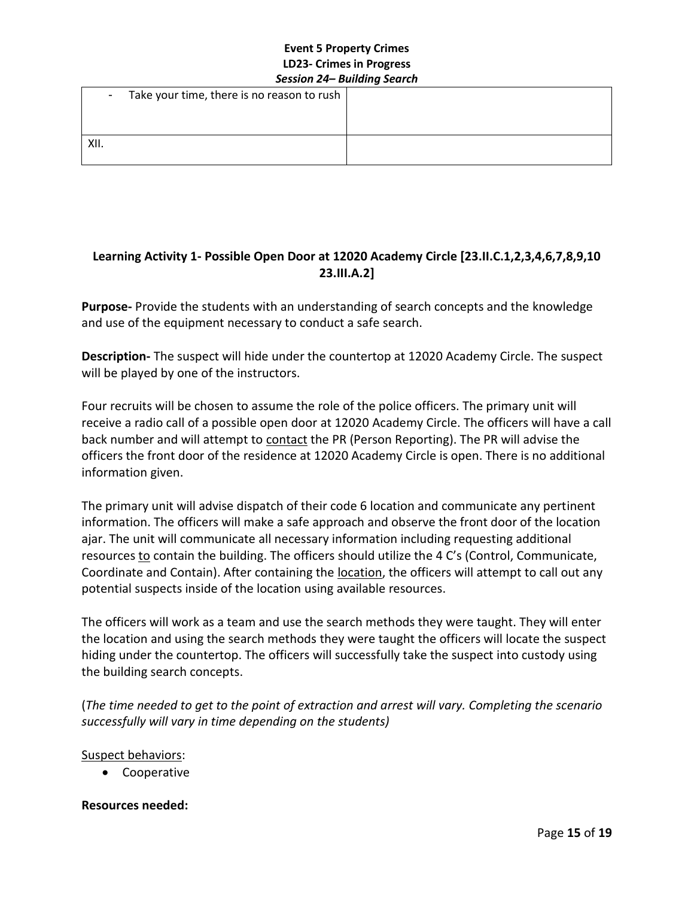| $\sim$ | Take your time, there is no reason to rush $ $ |  |
|--------|------------------------------------------------|--|
|        |                                                |  |
| XII.   |                                                |  |

# **Learning Activity 1- Possible Open Door at 12020 Academy Circle [23.II.C.1,2,3,4,6,7,8,9,10 23.III.A.2]**

**Purpose-** Provide the students with an understanding of search concepts and the knowledge and use of the equipment necessary to conduct a safe search.

**Description-** The suspect will hide under the countertop at 12020 Academy Circle. The suspect will be played by one of the instructors.

Four recruits will be chosen to assume the role of the police officers. The primary unit will receive a radio call of a possible open door at 12020 Academy Circle. The officers will have a call back number and will attempt to contact the PR (Person Reporting). The PR will advise the officers the front door of the residence at 12020 Academy Circle is open. There is no additional information given.

The primary unit will advise dispatch of their code 6 location and communicate any pertinent information. The officers will make a safe approach and observe the front door of the location ajar. The unit will communicate all necessary information including requesting additional resources to contain the building. The officers should utilize the 4 C's (Control, Communicate, Coordinate and Contain). After containing the **location**, the officers will attempt to call out any potential suspects inside of the location using available resources.

The officers will work as a team and use the search methods they were taught. They will enter the location and using the search methods they were taught the officers will locate the suspect hiding under the countertop. The officers will successfully take the suspect into custody using the building search concepts.

(*The time needed to get to the point of extraction and arrest will vary. Completing the scenario successfully will vary in time depending on the students)* 

### Suspect behaviors:

• Cooperative

### **Resources needed:**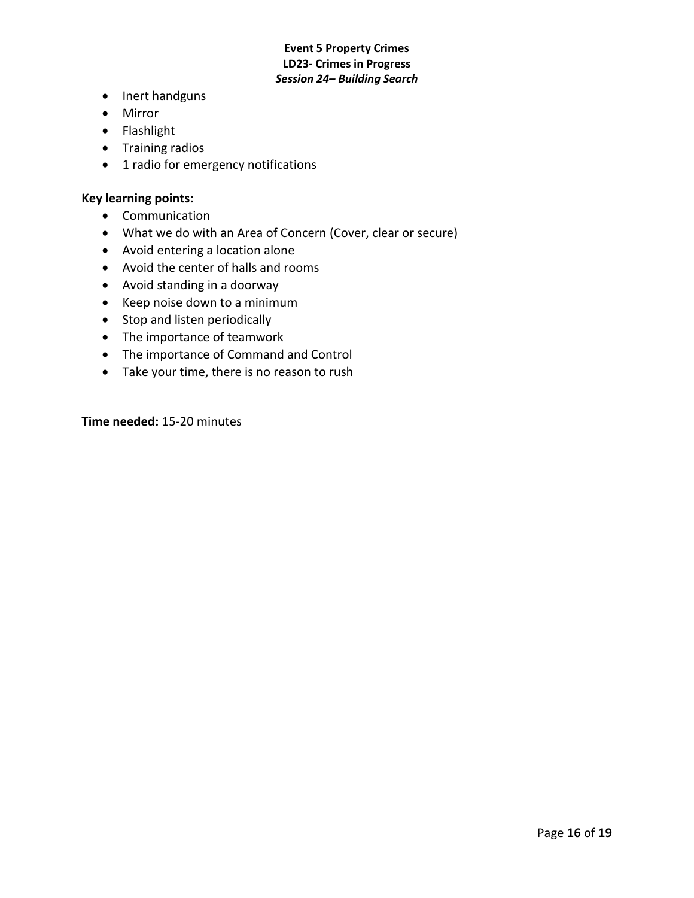- Inert handguns
- Mirror
- Flashlight
- Training radios
- 1 radio for emergency notifications

#### **Key learning points:**

- Communication
- What we do with an Area of Concern (Cover, clear or secure)
- Avoid entering a location alone
- Avoid the center of halls and rooms
- Avoid standing in a doorway
- Keep noise down to a minimum
- Stop and listen periodically
- The importance of teamwork
- The importance of Command and Control
- Take your time, there is no reason to rush

**Time needed:** 15-20 minutes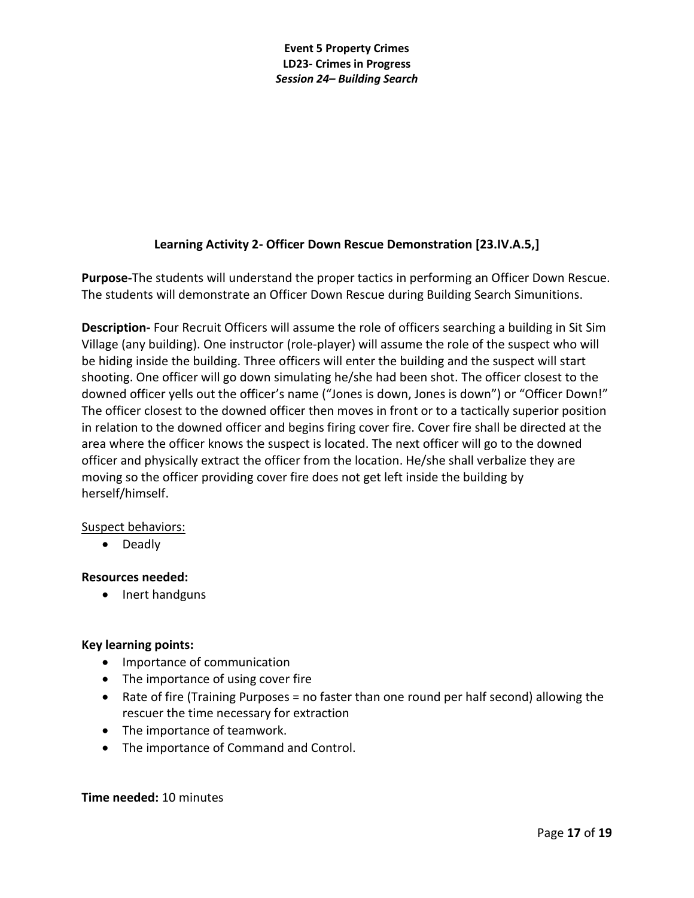# **Learning Activity 2- Officer Down Rescue Demonstration [23.IV.A.5,]**

**Purpose-**The students will understand the proper tactics in performing an Officer Down Rescue. The students will demonstrate an Officer Down Rescue during Building Search Simunitions.

**Description-** Four Recruit Officers will assume the role of officers searching a building in Sit Sim Village (any building). One instructor (role-player) will assume the role of the suspect who will be hiding inside the building. Three officers will enter the building and the suspect will start shooting. One officer will go down simulating he/she had been shot. The officer closest to the downed officer yells out the officer's name ("Jones is down, Jones is down") or "Officer Down!" The officer closest to the downed officer then moves in front or to a tactically superior position in relation to the downed officer and begins firing cover fire. Cover fire shall be directed at the area where the officer knows the suspect is located. The next officer will go to the downed officer and physically extract the officer from the location. He/she shall verbalize they are moving so the officer providing cover fire does not get left inside the building by herself/himself.

### Suspect behaviors:

• Deadly

### **Resources needed:**

• Inert handguns

# **Key learning points:**

- Importance of communication
- The importance of using cover fire
- Rate of fire (Training Purposes = no faster than one round per half second) allowing the rescuer the time necessary for extraction
- The importance of teamwork.
- The importance of Command and Control.

### **Time needed:** 10 minutes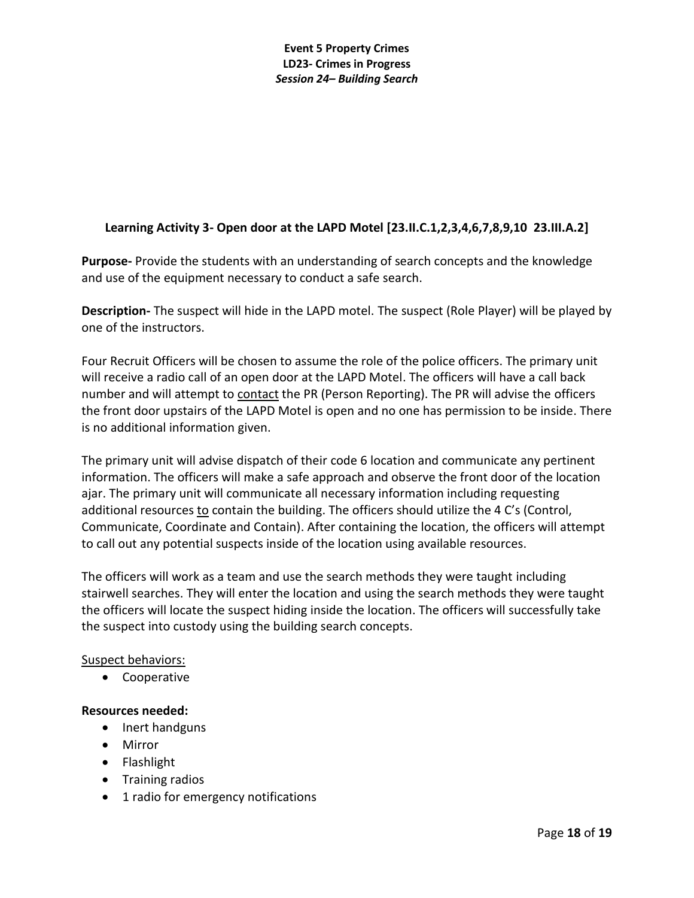# **Learning Activity 3- Open door at the LAPD Motel [23.II.C.1,2,3,4,6,7,8,9,10 23.III.A.2]**

**Purpose-** Provide the students with an understanding of search concepts and the knowledge and use of the equipment necessary to conduct a safe search.

**Description-** The suspect will hide in the LAPD motel. The suspect (Role Player) will be played by one of the instructors.

Four Recruit Officers will be chosen to assume the role of the police officers. The primary unit will receive a radio call of an open door at the LAPD Motel. The officers will have a call back number and will attempt to contact the PR (Person Reporting). The PR will advise the officers the front door upstairs of the LAPD Motel is open and no one has permission to be inside. There is no additional information given.

The primary unit will advise dispatch of their code 6 location and communicate any pertinent information. The officers will make a safe approach and observe the front door of the location ajar. The primary unit will communicate all necessary information including requesting additional resources to contain the building. The officers should utilize the 4 C's (Control, Communicate, Coordinate and Contain). After containing the location, the officers will attempt to call out any potential suspects inside of the location using available resources.

The officers will work as a team and use the search methods they were taught including stairwell searches. They will enter the location and using the search methods they were taught the officers will locate the suspect hiding inside the location. The officers will successfully take the suspect into custody using the building search concepts.

### Suspect behaviors:

• Cooperative

### **Resources needed:**

- Inert handguns
- Mirror
- Flashlight
- Training radios
- 1 radio for emergency notifications